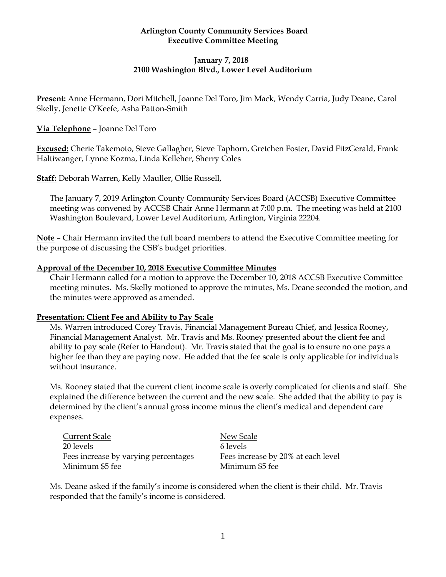### **Arlington County Community Services Board Executive Committee Meeting**

## **January 7, 2018 2100 Washington Blvd., Lower Level Auditorium**

**Present:** Anne Hermann, Dori Mitchell, Joanne Del Toro, Jim Mack, Wendy Carria, Judy Deane, Carol Skelly, Jenette O'Keefe, Asha Patton-Smith

### **Via Telephone** – Joanne Del Toro

**Excused:** Cherie Takemoto, Steve Gallagher, Steve Taphorn, Gretchen Foster, David FitzGerald, Frank Haltiwanger, Lynne Kozma, Linda Kelleher, Sherry Coles

**Staff:** Deborah Warren, Kelly Mauller, Ollie Russell,

The January 7, 2019 Arlington County Community Services Board (ACCSB) Executive Committee meeting was convened by ACCSB Chair Anne Hermann at 7:00 p.m. The meeting was held at 2100 Washington Boulevard, Lower Level Auditorium, Arlington, Virginia 22204.

**Note** – Chair Hermann invited the full board members to attend the Executive Committee meeting for the purpose of discussing the CSB's budget priorities.

#### **Approval of the December 10, 2018 Executive Committee Minutes**

Chair Hermann called for a motion to approve the December 10, 2018 ACCSB Executive Committee meeting minutes. Ms. Skelly motioned to approve the minutes, Ms. Deane seconded the motion, and the minutes were approved as amended.

### **Presentation: Client Fee and Ability to Pay Scale**

Ms. Warren introduced Corey Travis, Financial Management Bureau Chief, and Jessica Rooney, Financial Management Analyst. Mr. Travis and Ms. Rooney presented about the client fee and ability to pay scale (Refer to Handout). Mr. Travis stated that the goal is to ensure no one pays a higher fee than they are paying now. He added that the fee scale is only applicable for individuals without insurance.

Ms. Rooney stated that the current client income scale is overly complicated for clients and staff. She explained the difference between the current and the new scale. She added that the ability to pay is determined by the client's annual gross income minus the client's medical and dependent care expenses.

Current Scale New Scale 20 levels 6 levels Fees increase by varying percentages Fees increase by 20% at each level Minimum \$5 fee Minimum \$5 fee

Ms. Deane asked if the family's income is considered when the client is their child. Mr. Travis responded that the family's income is considered.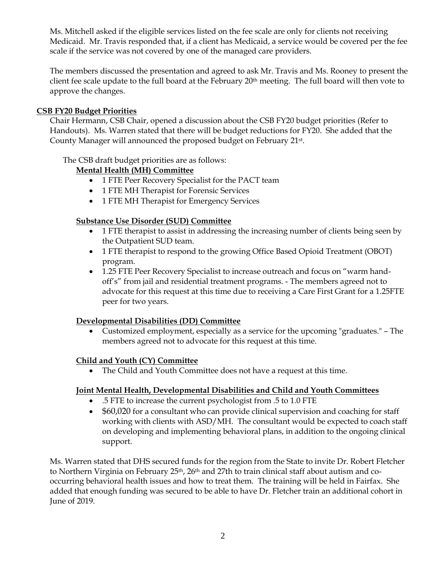Ms. Mitchell asked if the eligible services listed on the fee scale are only for clients not receiving Medicaid. Mr. Travis responded that, if a client has Medicaid, a service would be covered per the fee scale if the service was not covered by one of the managed care providers.

The members discussed the presentation and agreed to ask Mr. Travis and Ms. Rooney to present the client fee scale update to the full board at the February  $20<sup>th</sup>$  meeting. The full board will then vote to approve the changes.

### **CSB FY20 Budget Priorities**

Chair Hermann, CSB Chair, opened a discussion about the CSB FY20 budget priorities (Refer to Handouts). Ms. Warren stated that there will be budget reductions for FY20. She added that the County Manager will announced the proposed budget on February 21<sup>st</sup>.

The CSB draft budget priorities are as follows:

### **Mental Health (MH) Committee**

- 1 FTE Peer Recovery Specialist for the PACT team
- 1 FTE MH Therapist for Forensic Services
- 1 FTE MH Therapist for Emergency Services

### **Substance Use Disorder (SUD) Committee**

- 1 FTE therapist to assist in addressing the increasing number of clients being seen by the Outpatient SUD team.
- 1 FTE therapist to respond to the growing Office Based Opioid Treatment (OBOT) program.
- 1.25 FTE Peer Recovery Specialist to increase outreach and focus on "warm handoff's" from jail and residential treatment programs. - The members agreed not to advocate for this request at this time due to receiving a Care First Grant for a 1.25FTE peer for two years.

### **Developmental Disabilities (DD) Committee**

• Customized employment, especially as a service for the upcoming "graduates." – The members agreed not to advocate for this request at this time.

### **Child and Youth (CY) Committee**

• The Child and Youth Committee does not have a request at this time.

### **Joint Mental Health, Developmental Disabilities and Child and Youth Committees**

- .5 FTE to increase the current psychologist from .5 to 1.0 FTE
- $$60,020$  for a consultant who can provide clinical supervision and coaching for staff working with clients with ASD/MH. The consultant would be expected to coach staff on developing and implementing behavioral plans, in addition to the ongoing clinical support.

Ms. Warren stated that DHS secured funds for the region from the State to invite Dr. Robert Fletcher to Northern Virginia on February 25<sup>th</sup>, 26<sup>th</sup> and 27th to train clinical staff about autism and cooccurring behavioral health issues and how to treat them. The training will be held in Fairfax. She added that enough funding was secured to be able to have Dr. Fletcher train an additional cohort in June of 2019.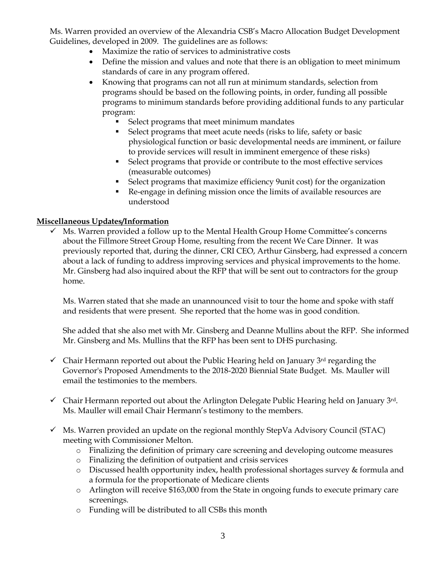Ms. Warren provided an overview of the Alexandria CSB's Macro Allocation Budget Development Guidelines, developed in 2009. The guidelines are as follows:

- Maximize the ratio of services to administrative costs
- Define the mission and values and note that there is an obligation to meet minimum standards of care in any program offered.
- Knowing that programs can not all run at minimum standards, selection from programs should be based on the following points, in order, funding all possible programs to minimum standards before providing additional funds to any particular program:
	- **•** Select programs that meet minimum mandates
	- **EXECUTE:** Select programs that meet acute needs (risks to life, safety or basic physiological function or basic developmental needs are imminent, or failure to provide services will result in imminent emergence of these risks)
	- Select programs that provide or contribute to the most effective services (measurable outcomes)
	- Select programs that maximize efficiency 9unit cost) for the organization
	- Re-engage in defining mission once the limits of available resources are understood

# **Miscellaneous Updates/Information**

 $\checkmark$  Ms. Warren provided a follow up to the Mental Health Group Home Committee's concerns about the Fillmore Street Group Home, resulting from the recent We Care Dinner. It was previously reported that, during the dinner, CRI CEO, Arthur Ginsberg, had expressed a concern about a lack of funding to address improving services and physical improvements to the home. Mr. Ginsberg had also inquired about the RFP that will be sent out to contractors for the group home.

Ms. Warren stated that she made an unannounced visit to tour the home and spoke with staff and residents that were present. She reported that the home was in good condition.

She added that she also met with Mr. Ginsberg and Deanne Mullins about the RFP. She informed Mr. Ginsberg and Ms. Mullins that the RFP has been sent to DHS purchasing.

- $\checkmark$  Chair Hermann reported out about the Public Hearing held on January 3<sup>rd</sup> regarding the Governor's Proposed Amendments to the 2018-2020 Biennial State Budget. Ms. Mauller will email the testimonies to the members.
- $\checkmark$  Chair Hermann reported out about the Arlington Delegate Public Hearing held on January 3rd. Ms. Mauller will email Chair Hermann's testimony to the members.
- $\checkmark$  Ms. Warren provided an update on the regional monthly StepVa Advisory Council (STAC) meeting with Commissioner Melton.
	- o Finalizing the definition of primary care screening and developing outcome measures
	- o Finalizing the definition of outpatient and crisis services
	- o Discussed health opportunity index, health professional shortages survey & formula and a formula for the proportionate of Medicare clients
	- o Arlington will receive \$163,000 from the State in ongoing funds to execute primary care screenings.
	- o Funding will be distributed to all CSBs this month